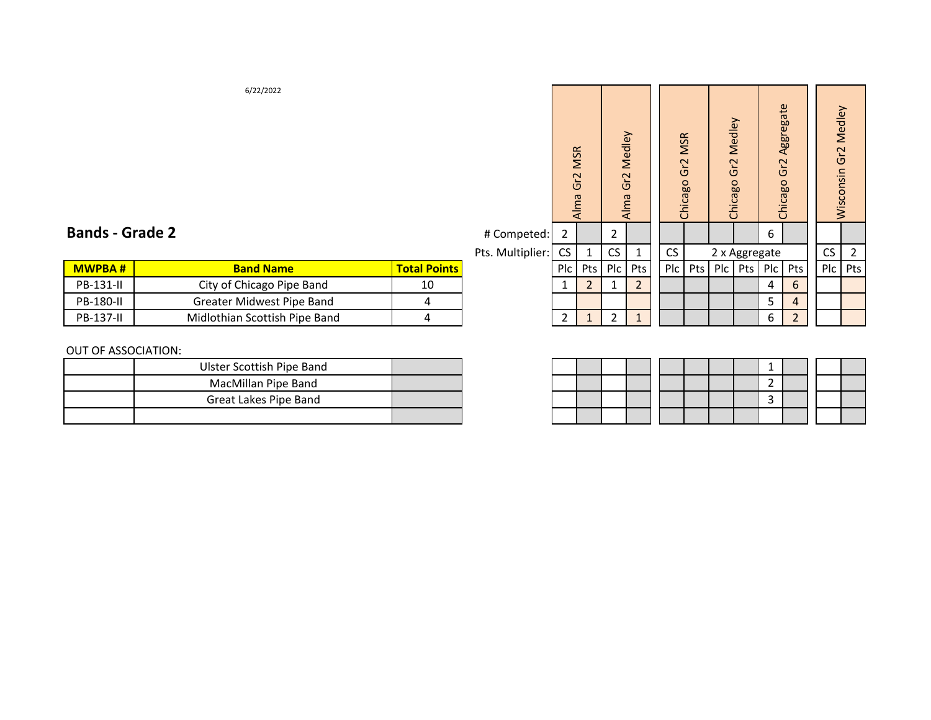|  | <b>Bands - Grade 2</b> |
|--|------------------------|
|--|------------------------|

|               |                               |                     |  |                       |  |     |     | $-$             |
|---------------|-------------------------------|---------------------|--|-----------------------|--|-----|-----|-----------------|
| <b>MWPBA#</b> | <b>Band Name</b>              | <b>Total Points</b> |  | Plc   Pts   Plc   Pts |  | Plc | Pts | PIc Pts PIc Pts |
| PB-131-II     | City of Chicago Pipe Band     | 10                  |  |                       |  |     |     |                 |
| PB-180-II     | Greater Midwest Pipe Band     |                     |  |                       |  |     |     |                 |
| PB-137-II     | Midlothian Scottish Pipe Band |                     |  |                       |  |     |     |                 |

#### OUT OF ASSOCIATION:

| Ulster Scottish Pipe Band |  |  |  |  |  |  |
|---------------------------|--|--|--|--|--|--|
| MacMillan Pipe Band       |  |  |  |  |  |  |
| Great Lakes Pipe Band     |  |  |  |  |  |  |
|                           |  |  |  |  |  |  |

| 6/22/2022                        |                     |                  | <b>MSR</b><br>Gr2<br>Alma |                | Gr2            | Medley<br>Alma | <b>MSR</b><br>Gr2<br>Chicago |     | Gr <sub>2</sub> | Medley<br>Chicago | Gr2<br>Chicago | Aggregate      | Wisconsin Gr2 Medley |     |
|----------------------------------|---------------------|------------------|---------------------------|----------------|----------------|----------------|------------------------------|-----|-----------------|-------------------|----------------|----------------|----------------------|-----|
| 2                                |                     | # Competed:      | $\overline{2}$            |                | $\overline{2}$ |                |                              |     |                 |                   | 6              |                |                      |     |
|                                  |                     | Pts. Multiplier: | <b>CS</b>                 | 1              | <b>CS</b>      | 1              | CS                           |     |                 | 2 x Aggregate     |                |                | <b>CS</b>            | 2   |
| <b>Band Name</b>                 | <b>Total Points</b> |                  | Plc                       | Pts            | P <sub>c</sub> | Pts            | Plc                          | Pts | P <sub>c</sub>  | Pts               | P <sub>c</sub> | Pts            | Plc                  | Pts |
| City of Chicago Pipe Band        | 10                  |                  | $\mathbf{1}$              | $\overline{2}$ |                | $\overline{2}$ |                              |     |                 |                   | 4              | 6              |                      |     |
| <b>Greater Midwest Pipe Band</b> | 4                   |                  |                           |                |                |                |                              |     |                 |                   | 5              | $\overline{4}$ |                      |     |
| Midlothian Scottish Pipe Band    | 4                   |                  | $\overline{2}$            | 1              | $\overline{2}$ | $\mathbf{1}$   |                              |     |                 |                   | 6              | $\overline{2}$ |                      |     |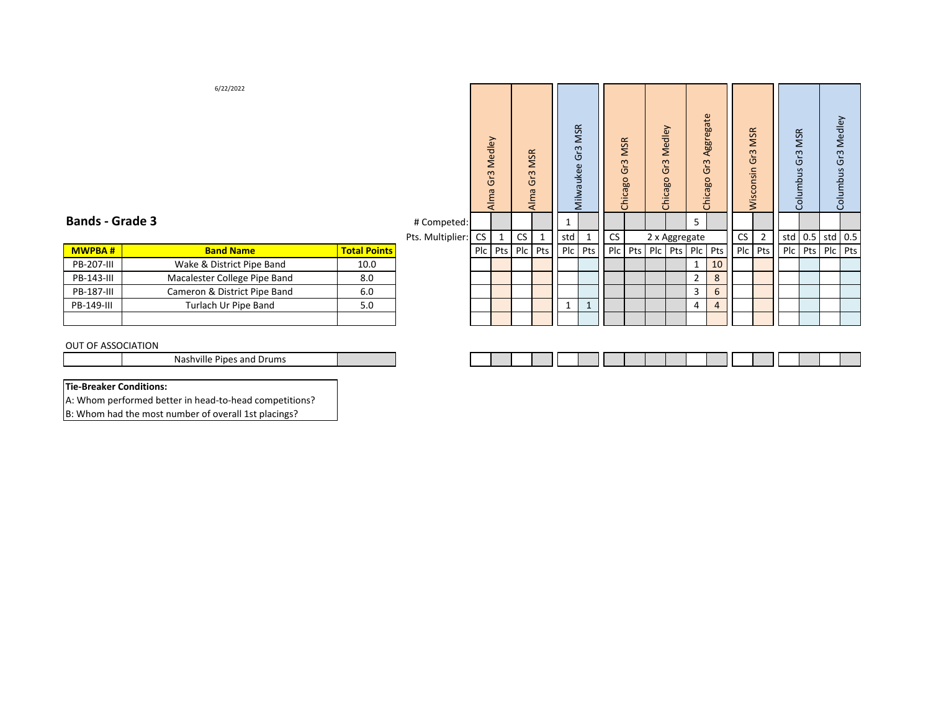# **Bands ‐ Grade 3**

 # Competed: 1 5 Pts. Multiplier: CS 1 CS 1 std 1 CS 2 std 0.5 std 0.5 std 0.5 Plc Pts Plc Pts Plc Pts Plc Pts Plc Pts Plc Pts Plc Pts Plc Pts Plc Pts Plc Pts Plc Pts Plc Pts Plc Pts Plc Pts Plc Pts Plc Pts Plc Pts Plc Pts Plc Pts Plc Pts

Alma Gr3 Medley

Alma Gr3 Medley

Alma Gr3 MSR

Alma Gr3 MSR

Milwaukee Gr3 MSR

Milwaukee Gr3 MSR

Chicago Gr3 MSR

Chicago Gr3 MSR

| <b>MWPBA#</b> | <b>Band Name</b>             | <b>Total Points</b> |
|---------------|------------------------------|---------------------|
|               | Wake & District Pipe Band    | 10.0                |
| PB-143-III    | Macalester College Pipe Band | 8.0                 |
| PB-187-III    | Cameron & District Pipe Band | 6.0                 |
| PB-149-III    | Turlach Ur Pipe Band         | 5.0                 |
|               |                              |                     |

#### OUT OF ASSOCIATION

**MWPBA # Band Name Total Points** Plc Pts Plc Pts Plc Pts Plc Pts Plc Pts Plc Pts Plc Pts Plc Pts Plc Pts

Chicago Gr3 Medley

Chicago Gr3 Medley

Chicago Gr3 Aggregate

Chicago Gr3 Aggregate

2 x Aggregate

Columbus Gr3 MSR

Columbus Gr3 MSR

Wisconsin Gr3 MSR

Wisconsin Gr3 MSR

Columbus Gr3 Medley

Columbus Gr3 Medley

### **Tie‐Breaker Conditions:**

A: Whom performed better in head‐to‐head competitions? B: Whom had the most number of overall 1st placings?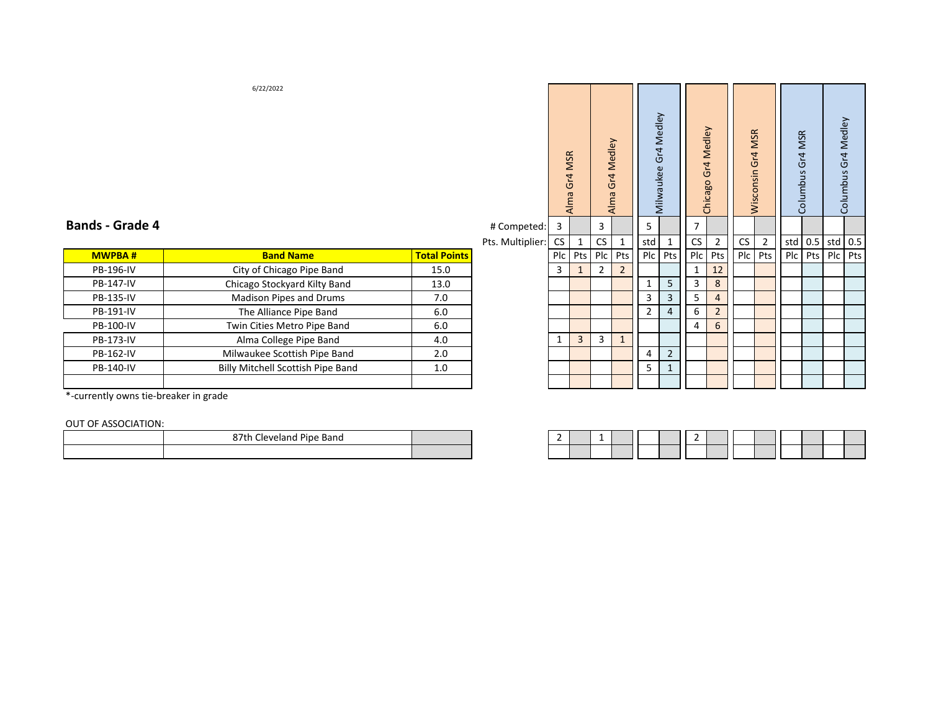|   | 6/22/2022                         |                     |                  | Alma Gr4 MSR |     |                | Alma Gr4 Medley | Gr4 Medley     | Milwaukee      | Chicago Gr4 Medley |                  | <b>MSR</b><br>Wisconsin Gr4 |                | Columbus Gr4 MSR |           | Columbus Gr4 Medley |     |
|---|-----------------------------------|---------------------|------------------|--------------|-----|----------------|-----------------|----------------|----------------|--------------------|------------------|-----------------------------|----------------|------------------|-----------|---------------------|-----|
| 4 |                                   |                     | # Competed:      | 3            |     | 3              |                 | 5              |                | $\overline{7}$     |                  |                             |                |                  |           |                     |     |
|   |                                   |                     | Pts. Multiplier: | <b>CS</b>    | 1   | CS             | $\mathbf{1}$    | std            | $\mathbf{1}$   | CS                 | $\overline{2}$   | ${\sf CS}$                  | $\overline{2}$ |                  | std $0.5$ | std $0.5$           |     |
|   | <b>Band Name</b>                  | <b>Total Points</b> |                  | Plc          | Pts | Plc            | Pts             | P <sub>c</sub> | Pts            | Plc                | Pts              | P <sub>c</sub>              | Pts            | P <sub>c</sub>   | Pts       | Plc                 | Pts |
|   | City of Chicago Pipe Band         | 15.0                |                  | 3            |     | $\overline{2}$ | $\overline{2}$  |                |                | 1                  | 12               |                             |                |                  |           |                     |     |
|   | Chicago Stockyard Kilty Band      | 13.0                |                  |              |     |                |                 | 1              | 5              | 3                  | $\bf 8$          |                             |                |                  |           |                     |     |
|   | Madison Pipes and Drums           | 7.0                 |                  |              |     |                |                 | 3              | 3              | 5                  | $\overline{4}$   |                             |                |                  |           |                     |     |
|   | The Alliance Pipe Band            | 6.0                 |                  |              |     |                |                 | $\overline{2}$ | $\overline{4}$ | 6                  | $\overline{2}$   |                             |                |                  |           |                     |     |
|   | Twin Cities Metro Pipe Band       | 6.0                 |                  |              |     |                |                 |                |                | 4                  | $\boldsymbol{6}$ |                             |                |                  |           |                     |     |
|   | Alma College Pipe Band            | 4.0                 |                  | $\mathbf{1}$ | 3   | 3              | $\mathbf{1}$    |                |                |                    |                  |                             |                |                  |           |                     |     |
|   | Milwaukee Scottish Pipe Band      | 2.0                 |                  |              |     |                |                 | 4              | $\overline{2}$ |                    |                  |                             |                |                  |           |                     |     |
|   | Billy Mitchell Scottish Pipe Band | 1.0                 |                  |              |     |                |                 | 5              | $\mathbf{1}$   |                    |                  |                             |                |                  |           |                     |     |
|   |                                   |                     |                  |              |     |                |                 |                |                |                    |                  |                             |                |                  |           |                     |     |

## **Bands ‐ Grade 4**

| " competet     |  |
|----------------|--|
| Pts Multinlier |  |

|                                          |                     |    |   |       |  |   | ັ       |                                     | ັ |  |  |                  |
|------------------------------------------|---------------------|----|---|-------|--|---|---------|-------------------------------------|---|--|--|------------------|
| <b>Band Name</b>                         | <b>Total Points</b> |    |   |       |  |   |         |                                     |   |  |  |                  |
| City of Chicago Pipe Band                | 15.0                | ್ರ |   |       |  |   |         | 12                                  |   |  |  |                  |
| Chicago Stockyard Kilty Band             | 13.0                |    |   |       |  |   |         |                                     |   |  |  |                  |
| Madison Pipes and Drums                  | 7.0                 |    |   |       |  |   |         |                                     |   |  |  |                  |
| The Alliance Pipe Band                   | 6.0                 |    |   |       |  |   |         |                                     |   |  |  |                  |
| Twin Cities Metro Pipe Band              | 6.0                 |    |   |       |  |   |         |                                     |   |  |  |                  |
| Alma College Pipe Band                   | 4.0                 |    | 3 |       |  |   |         |                                     |   |  |  |                  |
| Milwaukee Scottish Pipe Band             | 2.0                 |    |   |       |  |   |         |                                     |   |  |  |                  |
| <b>Billy Mitchell Scottish Pipe Band</b> | 1.0                 |    |   |       |  |   |         |                                     |   |  |  |                  |
|                                          |                     |    |   |       |  |   |         |                                     |   |  |  |                  |
|                                          |                     |    |   | 1.3.1 |  | ັ | . J . u | Plc   Pts   Plc   Pts     Plc   Pts |   |  |  | 3101010131010101 |

\*‐currently owns tie‐breaker in grade

OUT OF ASSOCIATION:

| .<br>__ |                                            |  |   |  |  |  |
|---------|--------------------------------------------|--|---|--|--|--|
|         | $\sim$<br>87th<br>Pipe Band<br>Cleveland ' |  | - |  |  |  |
|         |                                            |  |   |  |  |  |